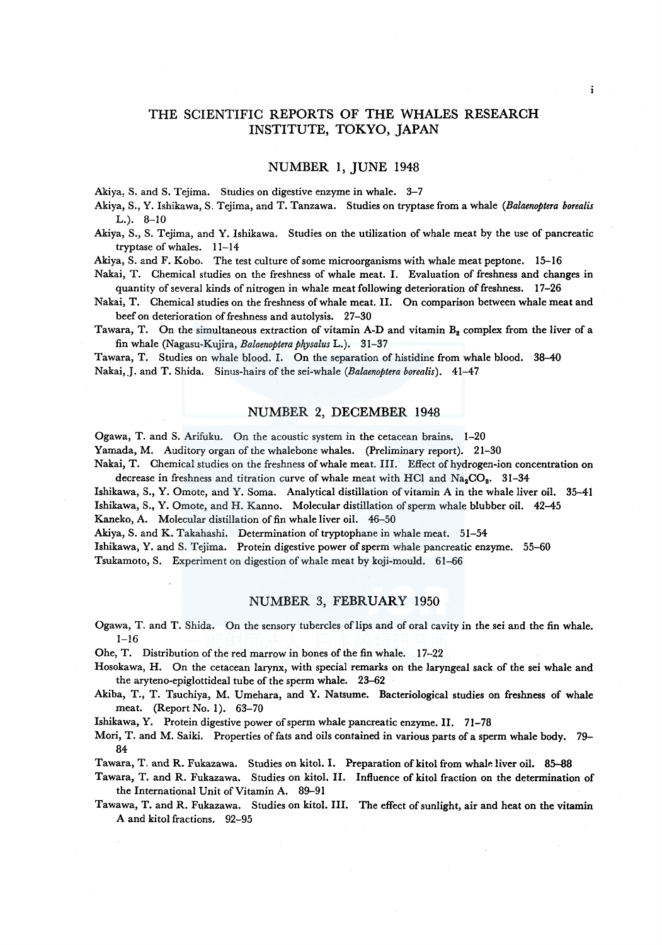# THE SCIENTIFIC REPORTS OF THE WHALES RESEARCH INSTITUTE, TOKYO, JAPAN

 $\cdot$ 

## NUMBER 1, JUNE 1948

Akiya, S. and S. Tejima. Studies on digestive enzyme in whale. 3-7

Akiya, S., Y. Ishikawa, S. Tejima, and T. Tanzawa. Studies on tryptase from a whale *(Balaenoptera borealis*   $L.$ ).  $8-10$ 

Akiya, S., S. Tejima, and Y. Ishikawa. Studies on the utilization of whale meat by the use of pancreatic tryptase of whales. 11-14

Akiya, S. and F. Koba. The test culture of some microorganisms with whale meat peptone. 15-16

Nakai, T. Chemical studies on the freshness of whale meat. I. Evaluation of freshness and changes in quantity of several kinds of nitrogen in whale meat following deterioration of freshness. 17-26

Nakai, T. Chemical studies on the freshness of whale meat. II. On comparison between whale meat and beef on deterioration of freshness and autolysis. 27-30

Tawara, T. On the simultaneous extraction of vitamin A-D and vitamin  $B_2$  complex from the liver of a fin whale (Nagasu-Kujira, *Balaenoptera physalus* L.). 31-37

Tawara, T. Studies on whale blood. I. On the separation of histidine from whale blood. 38-40 Nakai,.J. and T. Shida. Sinus-hairs of the sei-whale *(Balaenoptera borealis).* 41-47

## NUMBER 2, DECEMBER 1948

Ogawa, T. and S. Arifuku. On the acoustic system in the cetacean brains. 1-20

Yamada, M. Auditory organ of the whalebone whales. (Preliminary report). 21-30

Nakai, T. Chemical studies on the freshness of whale meat. III. Effect of hydrogen-ion concentration on decrease in freshness and titration curve of whale meat with HCl and  $Na_2CO_2$ . 31-34

Ishikawa, S., Y. Omote, and Y. Soma. Analytical distillation of vitamin A in the whale liver oil. 35-41 Ishikawa, S., Y. Omote, and H. Kanno. Molecular distillation of sperm whale blubber oil. 42-45

Kaneko, A. Molecular distillation of fin whale liver oil. 46-50

Akiya, S. and K. Takahashi. Determination of tryptophane in whale meat. 51-54

Ishikawa, Y. and S. Tejima. Protein digestive power of sperm whale pancreatic enzyme. 55-60

Tsukamoto, S. Experiment on digestion of whale meat by koji-mould. 61-66

#### NUMBER 3, FEBRUARY 1950

Ogawa, T. and T. Shida. On the sensory tubercles of lips and of oral cavity in the sei and the fin whale. 1-16

Ohe, T. Distribution of the red marrow in bones of the fin whale. 17-22

Hosokawa, H. On the cetacean larynx, with special remarks on the laryngeal sack of the sei whale and the aryteno-epiglottideal tube of the sperm whale. 23-62

Akiba, T., T. Tsuchiya, M. Umehara, and Y. Natsume. Bacteriological studies on freshness of whale meat. (Report No. l). 63-70

Ishikawa, Y. Protein digestive power of sperm whale pancreatic enzyme. II. 71-78

Mori, T. and M. Saiki. Properties of fats and oils contained in various parts of a sperm whale body. 79- 84

Tawara, T. and R. Fukazawa. Studies on kitol. I. Preparation of kitol from whale liver oil. 85-88

Tawara, T. and R. Fukazawa. Studies on kitol. II. Influence of kitol fraction on the determination of the International Unit of Vitamin A. 89-91

Tawawa, T. and R. Fukazawa. Studies on kitol. III. The effect of sunlight, air and heat on the vitamin A and kitol fractions. 92-95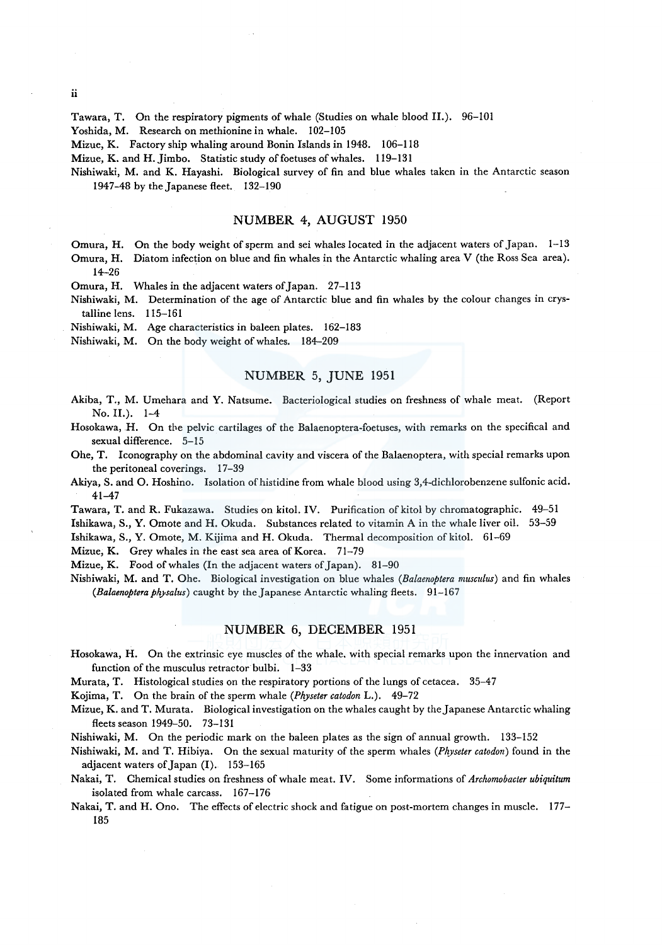Tawara, T. On the respiratory pigments of whale (Studies on whale blood II.). 96-101

Yoshida, M. Research on methionine in whale. 102-105

Mizue, K. Factory ship whaling around Bonin Islands in 1948. 106-118

Mizue, K. and H. Jimbo. Statistic study of foetuses of whales. 119-131

Nishiwaki, M. and K. Hayashi. Biological survey of fin and blue whales taken in the Antarctic season 1947-48 by the Japanese fleet. 132-190

### NUMBER 4, AUGUST 1950

Omura, H. On the body weight of sperm and sei whales located in the adjacent waters of Japan. 1-13 Omura, H. Diatom infection on blue and fin whales in the Antarctic whaling area V (the Ross Sea area). 14-26

Omura, H. Whales in the adjacent waters of Japan. 27-113

Nishiwaki, M. Determination of the age of Antarctic blue and fin whales by the colour changes in crystalline lens. 115-161

Nishiwaki, M. Age characteristics in baleen plates. 162-183

Nishiwaki, M. On the body weight of whales. 184-209

## NUMBER 5, JUNE 1951

Akiba, T., M. Umehara and Y. Natsume. Bacteriological studies on freshness of whale meat. (Report No. II.). 1-4

Hosokawa, H. On the pelvic cartilages of the Balaenoptera-foetuses, with remarks on the specifical and sexual difference. 5-15

Ohe, T. Iconography on the abdominal cavity and viscera of the Balaenoptera, with special remarks upon the peritoneal coverings. 17-39

Akiya, S. and 0. Hoshino. Isolation of histidine from whale blood using 3,4-dichlorobenzene sulfonic acid. 41-47

Tawara, T. and R. Fukazawa. Studies on kitol. IV. Purification of kitol by chromatographic. 49-51

Ishikawa, S., Y. Omote and H. Okuda. Substances related to vitamin A in the whale liver oil. 53-59

Ishikawa, S., Y. Omote, M. Kijima and H. Okuda. Thermal decomposition of kitol. 61-69

Mizue, K. Grey whales in the east sea area of Korea. 71-79

Mizue, K. Food of whales (In the adjacent waters of Japan). 81-90

Nishiwaki, M. and T. Ohe. Biological investigation on blue whales *(Balaenoptera musculus)* and fin whales *(Balaenoptera physalus)* caught by the Japanese Antarctic whaling fleets. 91-167

## NUMBER 6, DECEMBER 1951

Hosokawa, H. On the extrinsic eye muscles of the whale. with special remarks upon the innervation and function of the musculus retractor bulbi. 1-33

Murata, T. Histological studies on the respiratory portions of the lungs of cetacea. 35-47

Kojima, T. On the brain of the sperm whale *(Physeter catodon* L.). 49-72

Mizue, K. and T. Murata. Biological investigation on the whales caught by the Japanese Antarctic whaling fleets season 1949-50. 73-131

Nishiwaki, M. On the periodic mark on the baleen plates as the sign of annual growth. 133-152

Nishiwaki, M. and T. Hibiya. On the sexual maturity of the sperm whales *(Physeter catodon)* found in the adjacent waters of Japan (I). 153-165

Nakai, T. Chemical studies on freshness of whale meat. IV. Some informations of *Archomobacter ubiquitum*  isolated from whale carcass. 167-176

Nakai, T. and H. Ono. The effects of electric shock and fatigue on post-mortem changes in muscle. 177- 185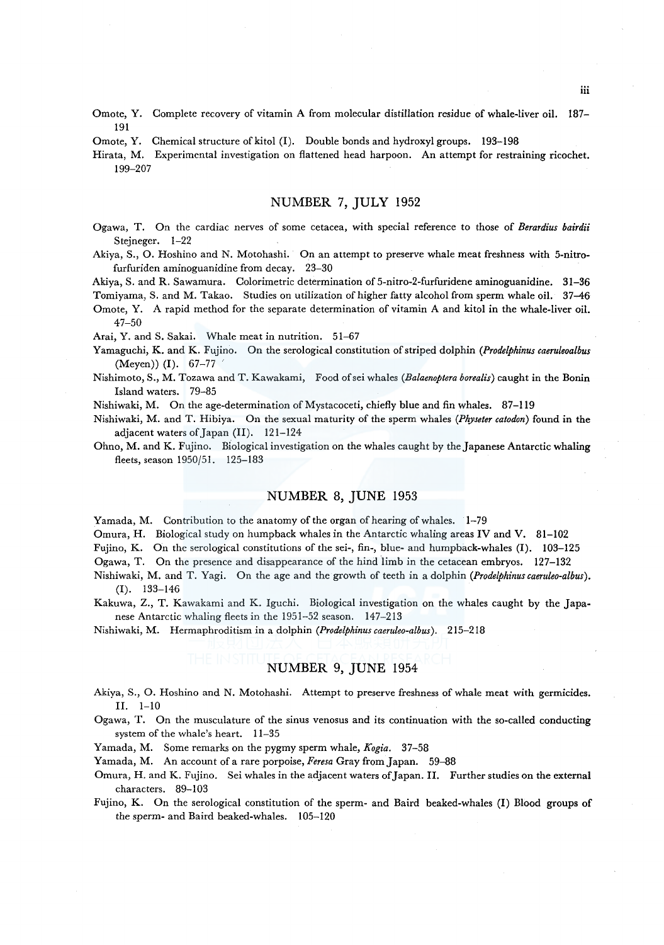- Omote, Y. Complete recovery of vitamin A from molecular distillation residue of whale-liver oil. 187-191
- Omote, Y. Chemical structure of kitol (I). Double bonds and hydroxyl groups. 193-198
- Hirata, M. Experimental investigation on flattened head harpoon. An attempt for restraining ricochet. 199-207

# NUMBER 7, JULY 1952

- Ogawa, T. On the cardiac nerves of some cetacea, with special reference to those of *Berardius bairdii*  Stejneger. 1-22
- Akiya, S., 0. Hoshino and N. Motohashi. On an attempt to preserve whale meat freshness with 5-nitrofurfuriden aminoguanidine from decay. 23-30

Akiya, S. and R. Sawamura. Colorimetric determination of 5-nitro-2-furfuridene aminoguanidine. 31-36

Tomiyama, S. and M. Takao. Studies on utilization of higher fatty alcohol from sperm whale oil. 37-46

Omote, Y. A rapid method for the separate determination of vitamin A and kitol in the whale-liver oil. 47-50

Arai, Y. and S. Sakai. Whale meat in nutrition. 51-67

- Yamaguchi, K. and K. Fujino. On the serological constitution of striped dolphin *(Prodelphinus caeruleoalbus*  (Meyen)) (I). 67-77
- Nishimoto, S., M. Tozawa and T. Kawakami, Food ofsei whales *(Balaenoptera borealis)* caught in the Bonin Island waters. 79-85
- Nishiwaki, M. On the age-determination of Mystacoceti, chiefly blue and fin whales. 87-119
- Nishiwaki, M. and T. Hibiya. On the sexual maturity of the sperm whales *(Physeter catodon)* found in the adjacent waters of Japan (II). 121-124
- Ohno, M. and K. Fujino. Biological investigation on the whales caught by the Japanese Antarctic whaling fleets, season 1950/51. 125-183

## NUMBER 8, JUNE 1953

Yamada, M. Contribution to the anatomy of the organ of hearing of whales. 1-79

Omura, H. Biological study on humpback whales in the Antarctic whaling areas IV and V. 81-102

Fujino, K. On the serological constitutions of the sei-, fin-, blue- and humpback-whales (I). 103-125

Ogawa, T. On the presence and disappearance of the hind limb in the cetacean embryos. 127-132

- Nishiwaki, M. and T. Yagi. On the age and the growth of teeth in a dolphin *(Prodelphinuscaeruleo-albus).*  (I). 133-146
- Kakuwa, Z., T. Kawakami and K. lguchi. Biological investigation on the whales caught by the Japanese Antarctic whaling fleets in the 1951-52 season. 147-213

Nishiwaki, M. Hermaphroditism in a dolphin *(Prodelphinus caeruleo-albus).* 215-218

# NUMBER 9, JUNE 1954

- Akiya, S., 0. Hoshino and N. Motohashi. Attempt to preserve freshness of whale meat with germicides. II. 1-10
- Ogawa, T. On the musculature of the sinus venosus and its continuation with the so-called conducting system of the whale's heart. 11-35

Yamada, M. Some remarks on the pygmy sperm whale, *Kogia.* 37-58

Yamada, M. An account ofa rare porpoise, *Feresa* Gray from Japan. 59-88

- Omura, H. and K. Fujino. Sei whales in the adjacent waters of Japan. II. Further studies on the external characters. 89-103
- Fujino, K. On the serological constitution of the sperm- and Baird beaked-whales (I) Blood groups of the sperm- and Baird beaked-whales. 105-120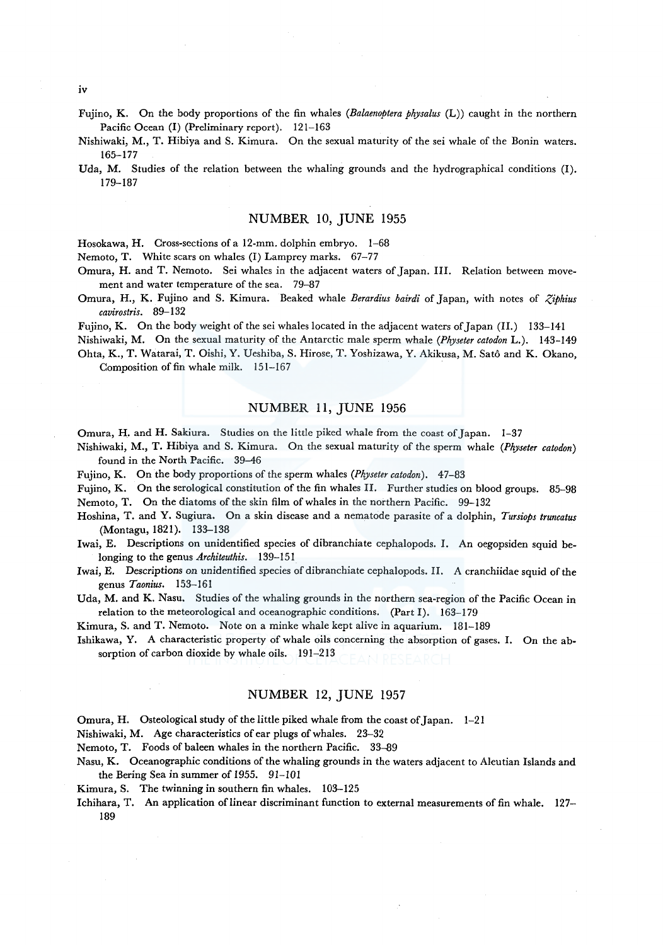iv

- Fujino, K. On the body proportions of the fin whaies *(Balaenoptera physalus* (L)) caught in the northern Pacific Ocean (I) (Preliminary report). 121-163
- Nishiwaki, M., T. Hibiya and S. Kimura. On the sexual maturity of the sei whale of the Bonin waters. 165-177
- Uda, M. Studies of the relation between the whaling grounds and the hydrographical conditions (1). 179-187

## NUMBER 10, JUNE 1955

Hosokawa, H. Cross-sections of a 12-mm. dolphin embryo. 1-68

Nemoto, T. White scars on whales (I) Lamprey marks. 67-77

- Omura, H. and T. Nemoto. Sei whales in the adjacent waters of Japan. III. Relation between movement and water temperature of the sea. 79-87
- Omura, H., K. Fujino and S. Kimura. Beaked whale *Berardius bairdi* of Japan, with notes of *:(iphius cavirostris.* 89-132

Fujino, K. On the body weight of the sei whales located in the adjacent waters of Japan (II.) 133-141

Nishiwaki, M. On the sexual maturity of the Antarctic male sperm whale *(Physeter catodon* L.). 143-149 Ohta, K., T. Watarai, T. Oishi, Y. Ueshiba, S. Hirose, T. Yoshizawa, Y. Akikusa, M. Sato and K. Okano,

Composition of fin whale milk. 151-167

## NUMBER 11, JUNE 1956

Omura, H. and H. Sakiura. Studies on the little piked whale from the coast of Japan. 1-37

- Nishiwaki, M., T. Hibiya and S. Kimura. On the sexual maturity of the sperm whale *(Physeter catodon)*  found in the North Pacific. 39-46
- Fujino, K. On the body proportions of the sperm whales (Physeter catodon). 47-83
- Fujino, K. On the serological constitution of the fin whales II. Further studies on blood groups. 85-98 Nemoto, T. On the diatoms of the skin film of whales in the northern Pacific. 99-132
- Hoshina, T. and Y. Sugiura. On a skin disease and a nematode parasite of a dolphin, *Tursiops truncatus*  (Montagu, 1821). 133-138
- Iwai, E. Descriptions on unidentified species of dibranchiate cephalopods. I. An oegopsiden squid belonging to the genus *Architeuthis.* 139-151
- Iwai, E. Descriptions on unidentified species of dibranchiate cephalopods. II. A cranchiidae squid of the genus *Taonius.* 153-161

Uda, M. and K. Nasu. Studies of the whaling grounds in the northern sea-region of the Pacific Ocean in relation to the meteorological and oceanographic conditions. (Part I). 163-179

Kimura, S. and T. Nemoto. Note on a minke whale kept alive in aquarium. 181-189

Ishikawa, Y. A characteristic property of whale oils concerning the absorption of gases. I. On the absorption of carbon dioxide by whale oils. 191-213

## NUMBER 12, JUNE 1957

Omura, H. Osteological study of the little piked whale from the coast of Japan. 1-21

Nishiwaki, M. Age characteristics of ear plugs of whales. 23-32

Nemoto, T. Foods of baleen whales in the northern Pacific. 33-89

Nasu, K. Oceanographic conditions of the whaling grounds in the waters adjacent to Aleutian Islands and the Bering Sea in summer of 1955. 91-IOI

Kimura, S. The twinning in southern fin whales. 103-125

Ichihara, T. An application of linear discriminant function to external measurements of fin whale. 127- 189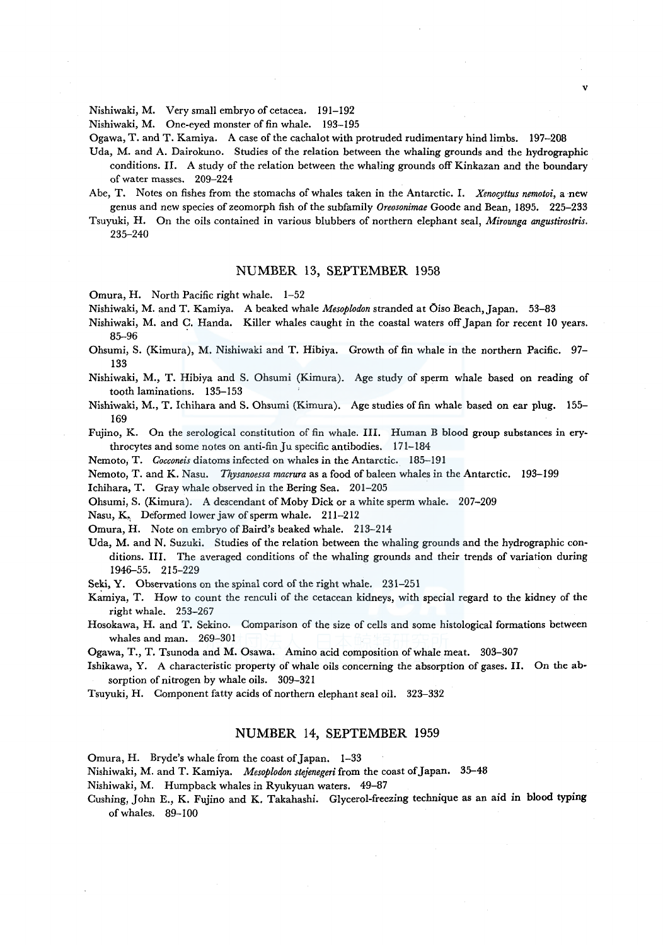Nishiwaki, M. Very small embryo of cetacea. 191-192

Nishiwaki, M. One-eyed monster of fin whale. 193-195

Ogawa, T. and T. Kamiya. A case of the cachalot with protruded rudimentary hind limbs. 197-208

Uda, M. and A. Dairokuno. Studies of the relation between the whaling grounds and the hydrographic conditions. II. A study of the relation between the whaling grounds off Kinkazan and the boundary of water masses. 209-224

v

- Abe, T. Notes on fishes from the stomachs of whales taken in the Antarctic. I. *Xenocyttus nemotoi,* a ·new genus and new species of zeomorph fish of the subfamily *Oreosonimae* Goode and Bean, 1895. 225-233
- Tsuyuki, H. On the oils contained in various blubbers of northern elephant seal, *Mirounga angustirostris.*  235-240

## NUMBER 13, SEPTEMBER 1958

Omura, H. North Pacific right whale. 1-52

Nishiwaki, M. and T. Kamiya. A beaked whale *Mesoplodon* stranded at Oiso Beach, Japan. 53-83

- Nishiwaki, M. and C. Handa. Killer whales caught in the coastal waters off Japan for recent 10 years. 85-96
- Ohsumi, S. (Kimura), M. Nishiwaki and T. Hibiya. Growth of fin whale in the northern Pacific. 97- 133

Nishiwaki, M., T. Hibiya and S. Ohsumi (Kimura). Age study of sperm whale based on reading of tooth laminations. 135-153

Nishiwaki, M., T. Ichihara and S. Ohsumi (Kimura). Age studies of fin whale based on ear plug. 155- 169

Fujino, K. On the serological constitution of fin whale. III. Human B blood group substances in erythrocytes and some notes on anti-fin Ju specific antibodies. 171-184

Nemoto, T. *Cocconeis* diatoms infected on whales in the Antarctic. 185-191

Nemoto, T. and K. Nasu. *Thysanoessa macrura* as a food of baleen whales in the Antarctic. 193-199

Ichihara, T. Gray whale observed in the Bering Sea. 201-205

Ohsumi, S. (Kimura). A descendant of Moby Dick or a white sperm whale. 207-209

Nasu, K, Deformed lower jaw of sperm whale. 211-212

Omura, H. Note on embryo of Baird's beaked whale. 213-214

Uda, M. and N. Suzuki. Studies of the relation between the whaling grounds and the hydrographic conditions. III. The averaged conditions of the whaling grounds and their trends of variation during 1946-55. 215-229

Seki, Y. Observations on the spinal cord of the right whale. 231-251

Kamiya, T. How to count the renculi of the cetacean kidneys, with special regard to the kidney of the right whale. 253-267

Hosokawa, H. and T. Sekino. Comparison of the size of cells and some histological formations between whales and man. 269-301

Ogawa, T., T. Tsunoda and M. Osawa. Amino acid composition of whale meat. 303-307

Ishikawa, Y. A characteristic property of whale oils concerning the absorption of gases. II. On the absorption of nitrogen by whale oils. 309-321

Tsuyuki, H. Component fatty acids of northern elephant seal oil. 323-332

#### NUMBER 14, SEPTEMBER 1959

Omura, H. Bryde's whale from the coast of Japan. 1-33

Nishiwaki, M. and T. Kamiya. *Mesoplodon stejenegeri* from the coast of Japan. 35-48

Nishiwaki, M. Humpback whales in Ryukyuan waters. 49-87

Cushing, John E., K. Fujino and K. Takahashi. Glycerol-freezing technique as an aid in blood typing ofwhales. 89-100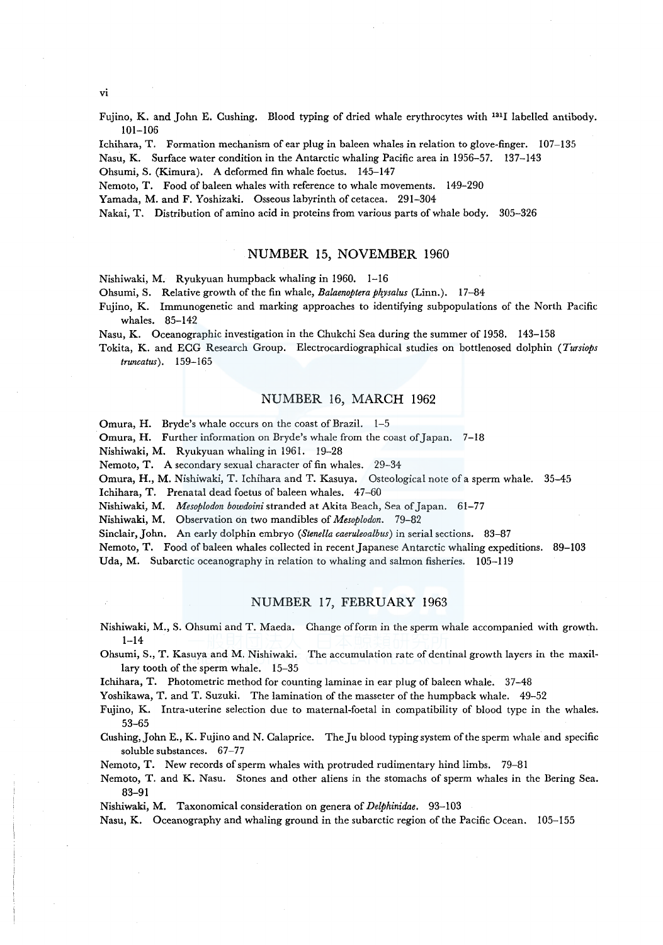vi

Fujino, K. and John E. Cushing. Blood typing of dried whale erythrocytes with 1311 labelled antibody. 101-106

lchihara, T. Formation mechanism of ear plug in baleen whales in relation to glove-finger. 107-135

Nasu, K. Surface water condition in the Antarctic whaling Pacific area in 1956-57. 137-143

Ohsumi, S. (Kimura). A deformed fin whale foetus. 145-147

Nemoto, T. Food of baleen whales with reference to whale movements. 149-290

Yamada, M. and F. Yoshizaki. Osseous labyrinth of cetacea. 291-304

Nakai, T. Distribution of amino acid in proteins from various parts of whale body. 305-326

### NUMBER 15, NOVEMBER 1960

Nishiwaki, M. Ryukyuan humpback whaling in 1960. 1-16

Ohsumi, S. Relative growth of the fin whale, *Balaenoptera ph\_vsalus* (Linn.). 17-84

Fujino, K. Immunogenetic and marking approaches to identifying subpopulations of the North Pacific whales. 85-142

Nasu, K. Oceanographic investigation in the Chukchi Sea during the summer of 1958. 143-158

Tokita, K. and ECG Research Group. Electrocardiographical studies on bott!enosed dolphin *(Tursiops truncatus).* 159-165

### NUMBER 16, MARCH 1962

Omura, H. Bryde's whale occurs on the coast of Brazil. 1-5

Omura, H. Further information on Bryde's whale from the coast of Japan. 7-18

Nishiwaki, M. Ryukyuan whaling in 1961. 19-28

Nemoto, T. A secondary sexual character of fin whales. 29-34

Omura, H., M. Nishiwaki, T. Ichihara and T. Kasuya. Osteological note of a sperm whale. 35-45

Ichihara, T. Prenatal dead foetus of baleen whales. 47-60

Nishiwaki, M. *Mesoplodon bowdoini* stranded at Akita Beach, Sea of Japan. 61-77

Nishiwaki, M. Observation on two mandibles of *Mesoplodon.* 79-82

Sinclair, John. An early dolphin embryo *(Stene/la caeruleoalbus)* in serial sections. 83-87

Nemoto, T. Food of baleen whales collected in recent Japanese Antarctic whaling expeditions. 89-103

Uda, M. Subarctic oceanography in relation to whaling and salmon fisheries. 105-119

## NUMBER 17, FEBRUARY 1963

Nishiwaki, M., S. Ohsumi and T. Maeda. Change of form in the sperm whale accompanied with growth. 1-14

Ohsumi, S., T. Kasuya and M. Nishiwaki. The accumulation rate of dentinal growth layers in the maxillary tooth of the sperm whale. 15-35

Ichihara, T. Photometric method for counting laminae in ear plug of baleen whale. 37-48

Yoshikawa, T. and T. Suzuki. The lamination of the masseter of the humpback whale. 49-52

Fujino, K. Intra-uterine selection due to maternal-foetal in compatibility of blood type in the whales. 53-65

Cushing, John E., K. Fujino and N. Calaprice. TheJ u blood typing system of the sperm whale and specific soluble substances. 67-77

Nemoto, T. New records of sperm whales with protruded rudimentary hind limbs. 79-81

Nemoto, T. and K. Nasu. Stones and other aliens in the stomachs of sperm whales in the Bering Sea. 83-91

Nishiwaki, M. Taxonomical consideration on genera of *Delphinidae.* 93-103

Nasu, K. Oceanography and whaling ground in the subarctic region of the Pacific Ocean. 105-155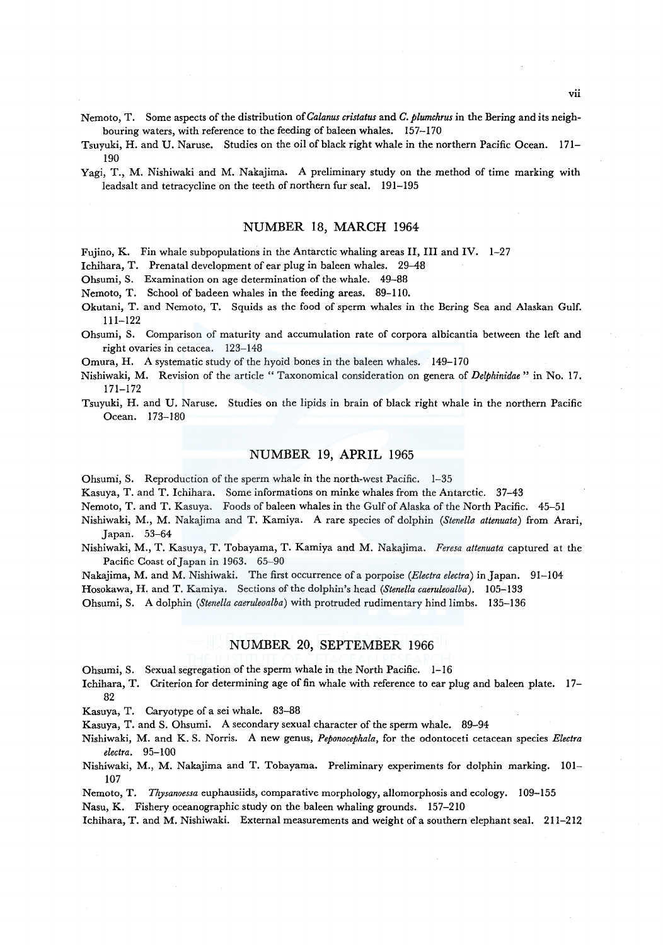Nemoto, T. Some aspects of the distribution of *Calanus cristatus* and *C. plumchrus* in the Bering and its neighbouring waters, with reference to the feeding of baleen whales. 157-170

- Tsuyuki, H. and U. Naruse. Studies on the oil of black right whale in the northern Pacific Ocean. 171- 190
- Yagi, T., M. Nishiwaki and M. Nakajima. A preliminary study on the method of time marking with leadsalt and tetracycline on the teeth of northern fur seal. 191-195

### NUMBER 18, MARCH 1964

Fujino, K. Fin whale subpopulations in the Antarctic whaling areas II, III and IV. 1-27

Ichihara, T. Prenatal development of ear plug in baleen whales. 29-48

Ohsumi, S. Examination on age determination of the whale. 49-88

- Nemoto, T. School of badeen whales in the feeding areas. 89-110.
- Okutani, T. and Nemoto, T. Squids as the food of sperm whales in the Bering Sea and Alaskan Gulf. 111-122
- Ohsumi, S. Comparison of maturity and accumulation rate of corpora albicantia between the left and right ovaries in cetacea. 123-148

Omura, H. A systematic study of the hyoid bones in the baleen whales. 149-170

- Nishiwaki, M. Revision of the article " Taxonomical consideration on genera of *Delphinidae* " in No. 17. 171-172
- Tsuyuki, H. and U. Naruse. Studies on the lipids in brain of black right whale in the northern Pacific Ocean. 173-180

## NUMBER 19, APRIL 1965

Ohsumi, S. Reproduction of the sperm whale in the north-west Pacific. 1-35

Kasuya, T. and T. Ichihara. Some informations on minke whales from the Antarctic. 37-43

Nemoto, T. and T. Kasuya. Foods of baleen whales in the Gulf of Alaska of the North Pacific. 45-51

- Nishiwaki, M., M. Nakajima and T. Kamiya. A rare species of dolphin *(Stenella attenuata)* from Arari, Japan. 53-64
- Nishiwaki, M., T. Kasuya, T. Tobayama, T. Kamiya and M. Nakajima. *Feresa attenuata* captured at the Pacific Coast of Japan in 1963. 65-90
- Nakajima, M. and M. Nishiwaki. The first occurrence of a porpoise *(Electra electra)* in Japan. 91-104

Hosokawa, H. and T. Kamiya. Sections of the dolphin's head *(Stenella caeruleoalba).* 105-133

Ohsumi, S. A dolphin *(Stenella caeruleoalba)* with protruded rudimentary hind limbs. 135-136

## NUMBER 20, SEPTEMBER 1966

- Ohsumi, S. Sexual segregation of the sperm whale in the North Pacific. 1-16
- Ichihara, T. Criterion for determining age of fin whale with reference to ear plug and baleen plate. 17- 82

Kasuya, T. Caryotype of a sei whale. 83-88

Kasuya, T. and S. Ohsumi. A secondary sexual character of the sperm whale. 89-94

- Nishiwaki, M. and K. S. Norris. A new genus, *Peponocephala,* for the odontoceti cetacean species *Electra electra.* 95-100
- Nishiwaki, M., M. Nakajima and T. Tobayama. Preliminary experiments for dolphin marking. 101- 107
- Nemoto, T. *Thysanoessa* euphausiids, comparative morphology, allomorphosis and ecology. 109-155

Nasu, K. Fishery oceanographic study on the baleen whaling grounds. 157-210

lchihara, T. and M. Nishiwaki. External measurements and weight of a southern elephant seal. 211-212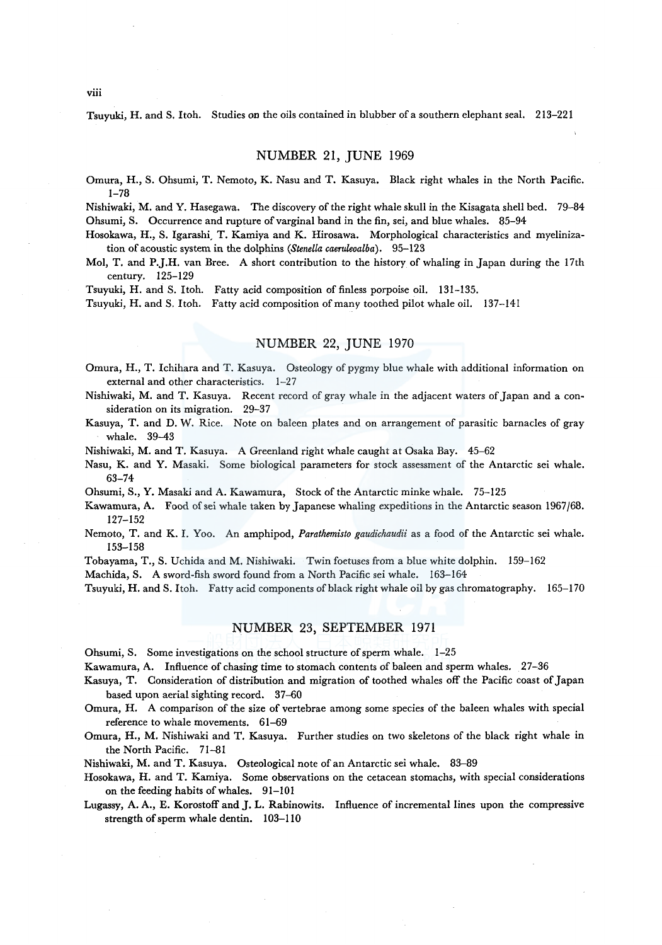Tsuyuki, H. and S. Itoh. Studies on the oils contained in blubber of a southern elephant seal. 213-221

## NUMBER 21, JUNE 1969

Omura, H., S. Ohsumi, T. Nemoto, K. Nasu and T. Kasuya. Black right whales in the North Pacific. 1-78

Nishiwaki, M. and Y. Hasegawa. The discovery of the right whale skull in the Kisagata shell bed. 79-84 Ohsumi, S. Occurrence and rupture of varginal band in the fin, sei, and blue whales. 85–94

Hosokawa, H., S. Igarashi, T. Kamiya and K. Hirosawa. Morphological characteristics and myelinization of acoustic system in the dolphins *(Stenella caeruleoalba).* 95-123

Mol, T. and P.J.H. van Bree. A short contribution to the history of whaling in Japan during the 17th century. 125-129

Tsuyuki, H. and S. Itoh. Fatty acid composition of finless porpoise oil. 131-135.

Tsuyuki, H. and S. Itoh. Fatty acid composition of many toothed pilot whale oil. 137-141

## NUMBER 22, JUNE 1970

Omura, H., T. Ichihara and T. Kasuya. Osteology of pygmy blue whale with additional information on external and other characteristics. 1-27

Nishiwaki, M. and T. Kasuya. Recent record of gray whale in the adjacent waters of Japan and a consideration on its migration. 29-37

Kasuya, T. and D. W. Rice. Note on baleen plates and on arrangement of parasitic barnacles of gray whale. 39-43

Nishiwaki, M. and T. Kasuya. A Greenland right whale caught at Osaka Bay. 45-62

Nasu, K. and Y. Masaki. Some biological parameters for stock assessment of the Antarctic sei whale. 63-74

Ohsumi, S., Y. Masaki and A. Kawamura, Stock of the Antarctic minke whale. 75-125

- Kawamura, A. Food of sei whale taken by Japanese whaling expeditions in the Antarctic season 1967 /68. 127-152
- Nemoto, T. and K. I. Yoo. An amphipod, *Parathemisto gaudichaudii* as a food of the Antarctic sei whale. 153-158

Tobayama, T., S. Uchida and M. Nishiwaki. Twin foetuses from a blue white dolphin. 159-162

Machida, S. A sword-fish sword found from a North Pacific sei whale. 163-164

Tsuyuki, H. and S. Itoh. Fatty acid components of black right whale oil by gas chromatography. 165-170

## NUMBER 23, SEPTEMBER 1971

Ohsumi, S. Some investigations on the school structure of sperm whale. 1-25

Kawamura, A. Influence of chasing time to stomach contents of baleen and sperm whales. 27-36

Kasuya, T. Consideration of distribution and migration of toothed whales off the Pacific coast of Japan based upon aerial sighting record. 37-60

Omura, H. A comparison of the size of vertebrae among some species of the baleen whales with special reference to whale movements. 61-69

Omura, H., M. Nishiwaki and T. Kasuya. Further studies on two skeletons of the black right whale in the North Pacific. 71-81

Nishiwaki, M. and T. Kasuya. Osteological note of an Antarctic sei whale. 83-89

Hosokawa, H. and T. Kamiya. Some observations on the cetacean stomachs, with special considerations on the feeding habits of whales. 91-101

Lugassy, A. A., E. Korostoff and J. L. Rabinowits. Influence of incremental lines upon the compressive strength of sperm whale dentin. 103-110

viii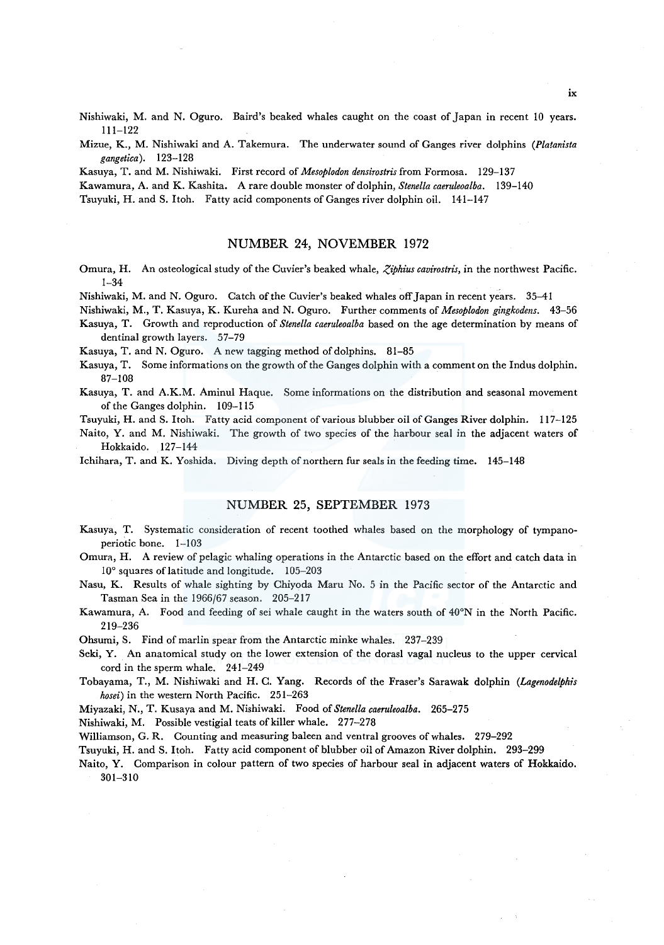Nishiwaki, M. and N. Oguro. Baird's beaked whales caught on the coast of Japan in recent 10 years. 111-122

Mizue, K., M. Nishiwaki and A. Takemura. The underwater sound of Ganges river dolphins *(Platanista gangetica).* 123-128

Kasuya, T. and M. Nishiwaki. First record of *Mesoplodon densirostris* from Formosa. 129-137

Kawamura, A. and K. Kashita. A rare double monster of dolphin, *Stenella caeruleoalba.* 139-140

Tsuyuki, H. and S. Itoh. Fatty acid components of Ganges river dolphin oil. 141-147

### NUMBER 24, NOVEMBER 1972

Omura, H. An osteological study of the Cuvier's beaked whale, *Ziphius cavirostris*, in the northwest Pacific. 1-34

Nishiwaki, M. and N. Oguro. Catch of the Cuvier's beaked whales off Japan in recent years. 35-41

Nishiwaki, M., T. Kasuya, K. Kureha and N. Oguro. Further comments of *Mesoplodon gingkodens.* 43-56 Kasuya, T. Growth and reproduction of *Stenella caeruleoalba* based on the age determination by means of

dentinal growth layers. 57-79

Kasuya, T. and N. Oguro. A new tagging method of dolphins. 81-85

Kasuya, T. Some informations on the growth of the Ganges dolphin with a comment on the lndus dolphin. 87-108

Kasuya, T. and A.K.M. Aminul Haque. Some informations on the distribution and seasonal movement of the Ganges dolphin. 109-115

Tsuyuki, H. and S. Itoh. Fatty acid component of various blubber oil of Ganges River dolphin. 117-125

Naito, Y. and M. Nishiwaki. The growth of two species of the harbour seal in the adjacent waters of Hokkaido. 127-144

Ichihara, T. and K. Yoshida. Diving depth of northern fur seals in the feeding time. 145-148

## NUMBER 25, SEPTEMBER 1973

Kasuya, T. Systematic consideration of recent toothed whales based on the morphology of tympanoperiotic bone. 1-103

Omura, H. A review of pelagic whaling operations in the Antarctic based on the effort and catch data in 10° squares of latitude and longitude. 105-203

Nasu, K. Results of whale sighting by Chiyoda Maru No. 5 in the Pacific sector of the Antarctic and Tasman Sea in the 1966/67 season. 205-217

Kawamura, A. Food and feeding of sei whale caught in the waters south of 40°N in the North Pacific. 219-236

Ohsumi, S. Find of marlin spear from the Antarctic minke whales. 237-239

Seki, Y. An anatomical study on the lower extension of the dorasl vagal nucleus to the upper cervical cord in the sperm whale. 241-249

Tobayama, T., M. Nishiwaki and H. C. Yang. Records of the Fraser's Sarawak dolphin *(Lagenodelphis hosei)* in the western North Pacific. 251-263

Miyazaki, N., T. Kusaya and M. Nishiwaki. Food of *Stenella caeruleoalba.* 265-275

Nishiwaki, M. Possible vestigial teats of killer whale. 277-278

Williamson, G. R. Counting and measuring baleen and ventral grooves of whales. 279-292

Tsuyuki, H. and S. Itoh. Fatty acid component of blubber oil of Amazon River dolphin. 293-299

Naito, Y. Comparison in colour pattern of two species of harbour seal in adjacent waters of Hokkaido. 301-310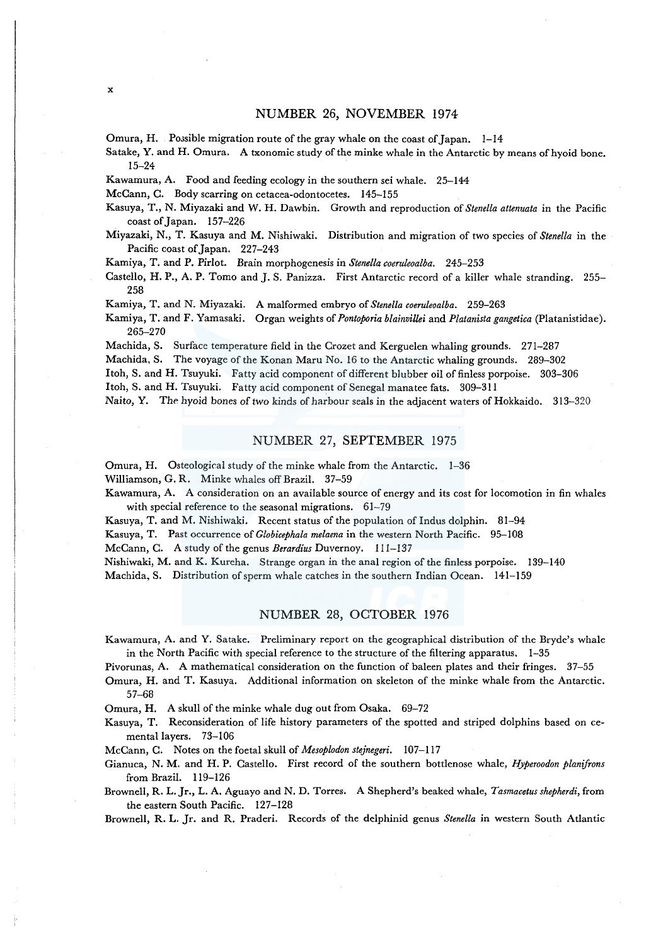Omura, H. Possible migration route of the gray whale on the coast of Japan.  $1-14$ 

Sa take, Y. and H. Omura. A txonomic study of the minke whale in the Antarctic by means of hyoid bone. 15-24

Kawamura, A. Food and feeding ecology in the southern sei whale. 25-144

McCann, C. Body scarring on cetacea-odontocetes. 145-155

Kasuya, T., N. Miyazaki and W. H. Dawbin. Growth and reproduction of *Stene/la attenuata* in the Pacific coast of Japan. 157-226

Miyazaki, N., T. Kasuya and M. Nishiwaki. Distribution and migration of two species of *Stene/la* in the Pacific coast of Japan. 227-243

Kamiya, T. and P. Pirlot. Brain morphogenesis in *Stene/la coeruleoalba.* 245-253

Castello, H. P., A. P. Tomo and J. S. Panizza. First Antarctic record of a killer whale stranding. 255-258

Kamiya, T. and N. Miyazaki. A malformed embryo of *Stenella coeruleoalba.* 259-263

Kamiya, T. and F. Yamasaki. Organ weights of *Pontoporia blainvillei* and *P!atanista gangetica* (Platanistidae). 265-270

Machida, S. Surface temperature field in the Crozet and Kerguelen whaling grounds. 271-287

Machida, S. The voyage of the Konan Maru No. 16 to the Antarctic whaling grounds. 289-302

Itoh, S. and H. Tsuyuki. Fatty acid component of different blubber oil of finless porpoise. 303-306

Itoh, S. and H. Tsuyuki. Fatty acid component of Senegal manatee fats. 309-311

Naito, Y. The hyoid bones of two kinds of harbour seals in the adjacent waters of Hokkaido. 313-320

## NUMBER 27, SEPTEMBER 1975

Omura, H. Osteological study of the minke whale from the Antarctic. 1-36

Williamson, G. R. Minke whales off Brazil. 37-59

Kawamura, A. A consideration on an available source of energy and its cost for locomotion in fin whales with special reference to the seasonal migrations. 61-79

Kasuya, T. and M. Nishiwaki. Recent status of the population of Indus dolphin. 81-94

Kasuya, T. Past occurrence of *Globicephala melaena* in the western North Pacific. 95-108

McCann, C. A study of the genus *Berardius* Duvernoy. 111-137

Nishiwaki, M. and K. Kureha. Strange organ in the anal region of the finless porpoise. 139-140

Machida, S. Distribution of sperm whale catches in the southern Indian Ocean. 141-159

## NUMBER 28, OCTOBER 1976

Kawamura, A. and Y. Satake. Preliminary report on the geographical distribution of the Bryde's whale in the North Pacific with special reference to the structure of the filtering apparatus, 1-35

Pivorunas, A. A mathematical consideration on the function of baleen plates and their fringes. 37-55

Omura, H. and T. Kasuya. Additional information on skeleton of the minke whale from the Antarctic. 57-68

Omura, H. A skull of the minke whale dug out from Osaka. 69-72

Kasuya, T. Reconsideration of life history parameters of the spotted and striped dolphins based on cementa! layers. 73-106

McCann, C. Notes on the foetal skull of *Mesoplodon stejnegeri.* 107-117

Gianuca, N. M. and H.P. Castello. First record of the southern bottlenose whale, *Hyperoodon planifrons*  from Brazil. 119-126

Brownell, R. L. Jr., L. A. Aguayo and N. D. Torres. A Shepherd's beaked whale, *Tasmacetus shepherdi,* from the eastern South Pacific. 127-128

Brownell, R. L. Jr. and R. Praderi. Records of the delphinid genus *Stenella* in western South Atlantic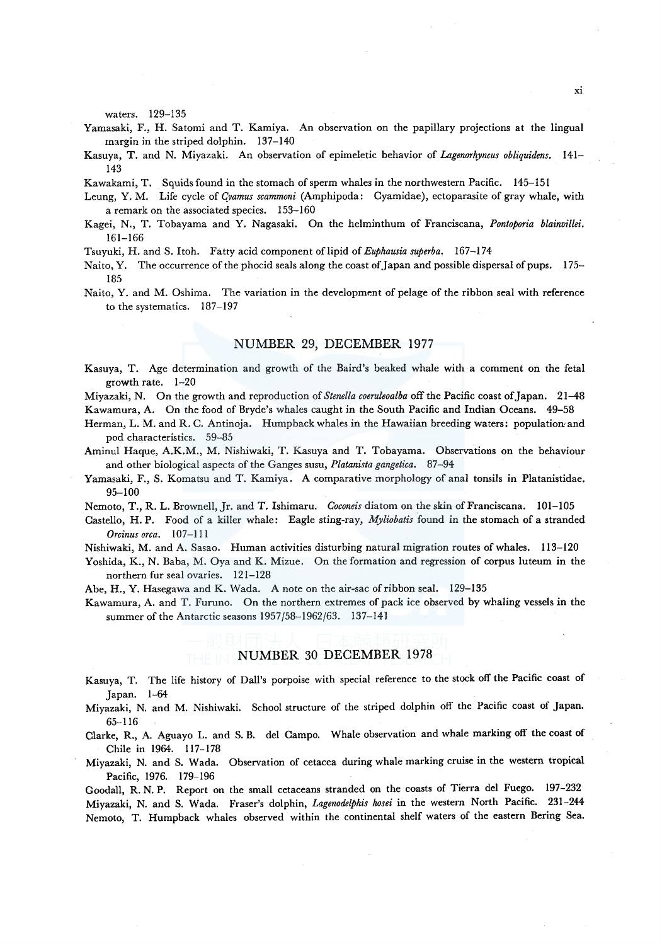waters. 129-135

- Yamasaki, F., H. Satomi and T. Kamiya. An observation on the papillary projections at the lingual margin in the striped dolphin. 137-140
- Kasuya, T. and N. Miyazaki. An observation of epimeletic behavior of *Lagenorhyncus obliquidens.* 141- 143

Kawakami, T. Squids found in the stomach of sperm whales in the northwestern Pacific. 145-151

- Leung, Y. M. Life cycle of *Gramus scammoni* (Amphipoda: Cyamidae), ectoparasite of gray whale, with a remark on the associated species. 153-160
- Kagei, N., T. Tobayama and Y. Nagasaki. On the helminthum of Franciscana, *Pontoporia blainvillei.*  161-166
- Tsuyuki, H. and S. Itoh. Fatty acid component of lipid of *Euphausia superba.* 167-174
- Naito, Y. The occurrence of the phocid seals along the coast of Japan and possible dispersal of pups. 175– 185
- Naito, Y. and M. Oshima. The variation in the development of pelage of the ribbon seal with reference to the systematics. 187-197

### NUMBER 29, DECEMBER 1977

Kasuya, T. Age determination and growth of the Baird's beaked whale with a comment on the feta! growth rate. 1-20

Miyazaki, N. On the growth and reproduction of *Stenella coeruleoalba* off the Pacific coast of Japan. 21-48

Kawamura, A. On the food of Bryde's whales caught in the South Pacific and Indian Oceans. 49-58

- Herman, L. M. and R. C. Antinoja. Humpback whales in the Hawaiian breeding waters: populatiowand pod characteristics. 59-85
- Aminul Haque, A.K.M., M. Nishiwaki, T. Kasuya and T. Tobayama. Observations on the behaviour and other biological aspects of the Ganges susu, *Platanista gangetica.* 87-94
- Yamasaki, F., S. Komatsu and T. Kamiya. A comparative morphology of anal tonsils in Platanistidae. 95-100

Nemoto, T., R. L. Brownell, Jr. and T. Ishimaru. *Coconeis* diatom on the skin of Franciscana. 101-105

Castello, H.P. Food of a killer whale: Eagle sting-ray, *Myliobatis* found in the stomach of a stranded *Orcinus orca.* 107-111

Nishiwaki, M. and A. Sasao. Human activities disturbing natural migration routes of whales. 113-120

Yoshida, K., N. Baba, M. Oya and K. Mizue. On the formation and regression of corpus luteum in the northern fur seal ovaries. 121-128

Abe, H., Y. Hasegawa and K. Wada. A note on the air-sac of ribbon seal. 129-135

Kawamura, A. and T. Furuno. On the northern extremes of pack ice observed by whaling vessels in the summer of the Antarctic seasons 1957/58-1962/63. 137-141

# NUMBER 30 DECEMBER 1978

- Kasuya, T. The life history of Dall's porpoise with special reference to the stock off the Pacific coast of Japan. 1-64
- Miyazaki, N. and M. Nishiwaki. School structure of the striped dolphin off the Pacific coast of Japan. 65-116

Clarke, R., A. Aguayo L. and S. B. de! Campo. Whale observation and whale marking off the coast of Chile in 1964. 117-178

Miyazaki, N. and S. Wada. Observation of cetacea during whale marking cruise in the western tropical Pacific, 1976. 179-196

Goodall, R. N. P. Report on the small cetaceans stranded on the coasts of Tierra de! Fuego. 197-232 Miyazaki, N. and S. Wada. Fraser's dolphin, *Lagenodelphis hosei* in the western North Pacific. 231-244 Nemoto, T. Humpback whales observed within the continental shelf waters of the eastern Bering Sea.